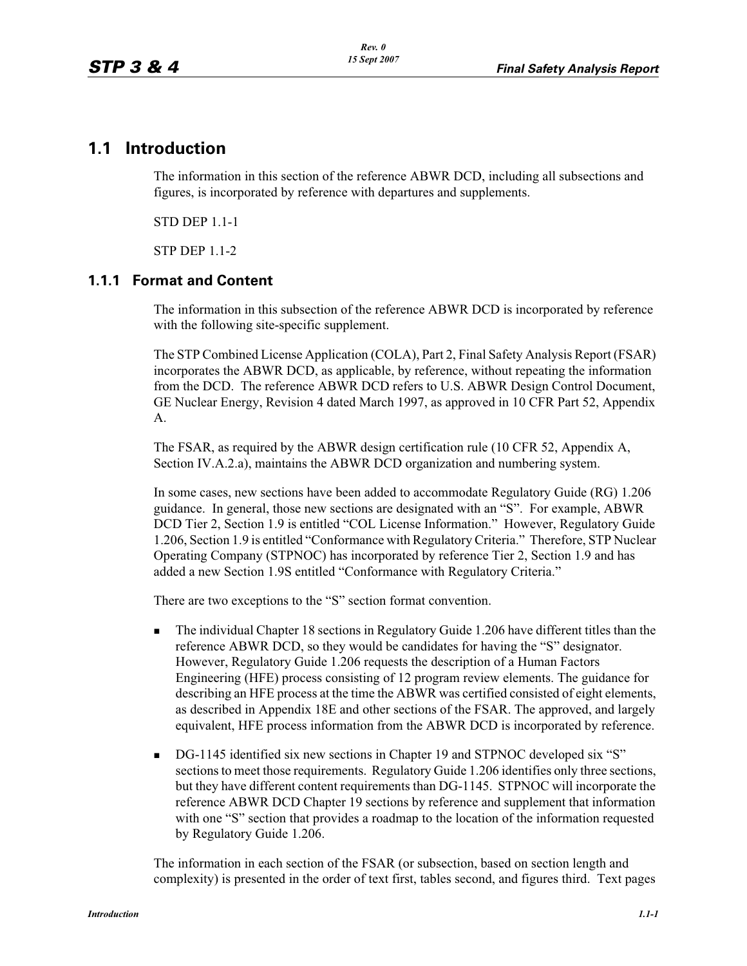# **1.1 Introduction**

The information in this section of the reference ABWR DCD, including all subsections and figures, is incorporated by reference with departures and supplements.

STD DEP 1.1-1

STP DEP 1.1-2

#### **1.1.1 Format and Content**

The information in this subsection of the reference ABWR DCD is incorporated by reference with the following site-specific supplement.

The STP Combined License Application (COLA), Part 2, Final Safety Analysis Report (FSAR) incorporates the ABWR DCD, as applicable, by reference, without repeating the information from the DCD. The reference ABWR DCD refers to U.S. ABWR Design Control Document, GE Nuclear Energy, Revision 4 dated March 1997, as approved in 10 CFR Part 52, Appendix A.

The FSAR, as required by the ABWR design certification rule (10 CFR 52, Appendix A, Section IV.A.2.a), maintains the ABWR DCD organization and numbering system.

In some cases, new sections have been added to accommodate Regulatory Guide (RG) 1.206 guidance. In general, those new sections are designated with an "S". For example, ABWR DCD Tier 2, Section 1.9 is entitled "COL License Information." However, Regulatory Guide 1.206, Section 1.9 is entitled "Conformance with Regulatory Criteria." Therefore, STP Nuclear Operating Company (STPNOC) has incorporated by reference Tier 2, Section 1.9 and has added a new Section 1.9S entitled "Conformance with Regulatory Criteria."

There are two exceptions to the "S" section format convention.

- - The individual Chapter 18 sections in Regulatory Guide 1.206 have different titles than the reference ABWR DCD, so they would be candidates for having the "S" designator. However, Regulatory Guide 1.206 requests the description of a Human Factors Engineering (HFE) process consisting of 12 program review elements. The guidance for describing an HFE process at the time the ABWR was certified consisted of eight elements, as described in Appendix 18E and other sections of the FSAR. The approved, and largely equivalent, HFE process information from the ABWR DCD is incorporated by reference.
- -DG-1145 identified six new sections in Chapter 19 and STPNOC developed six "S" sections to meet those requirements. Regulatory Guide 1.206 identifies only three sections, but they have different content requirements than DG-1145. STPNOC will incorporate the reference ABWR DCD Chapter 19 sections by reference and supplement that information with one "S" section that provides a roadmap to the location of the information requested by Regulatory Guide 1.206.

The information in each section of the FSAR (or subsection, based on section length and complexity) is presented in the order of text first, tables second, and figures third. Text pages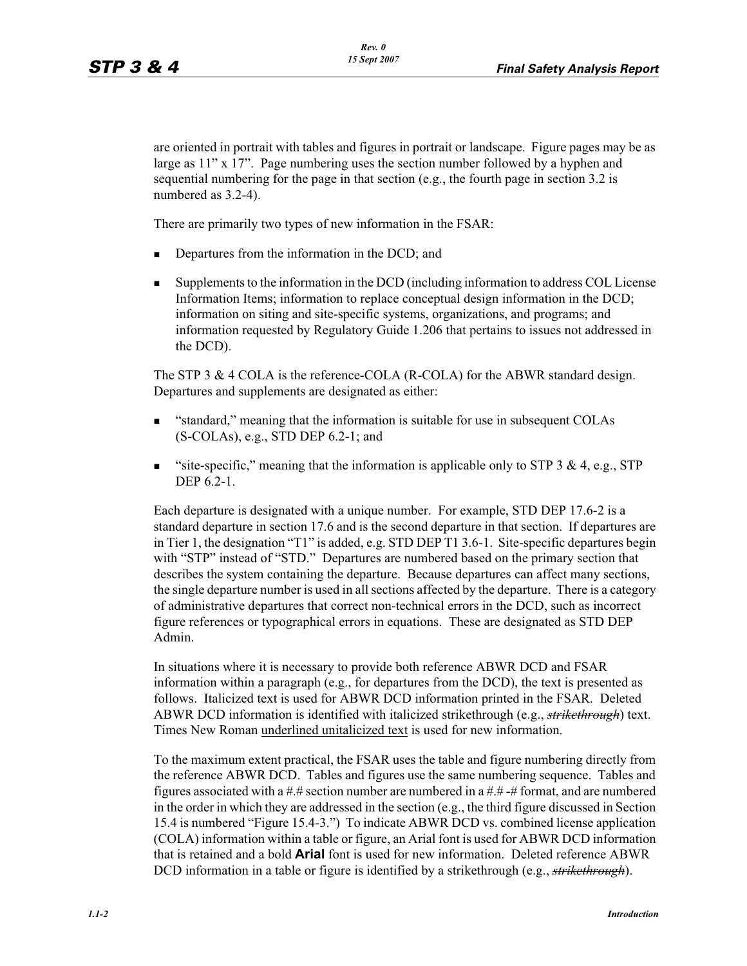are oriented in portrait with tables and figures in portrait or landscape. Figure pages may be as large as  $11''$  x  $17''$ . Page numbering uses the section number followed by a hyphen and sequential numbering for the page in that section (e.g., the fourth page in section 3.2 is numbered as 3.2-4).

There are primarily two types of new information in the FSAR:

- -Departures from the information in the DCD; and
- - Supplements to the information in the DCD (including information to address COL License Information Items; information to replace conceptual design information in the DCD; information on siting and site-specific systems, organizations, and programs; and information requested by Regulatory Guide 1.206 that pertains to issues not addressed in the DCD).

The STP 3 & 4 COLA is the reference-COLA (R-COLA) for the ABWR standard design. Departures and supplements are designated as either:

- - "standard," meaning that the information is suitable for use in subsequent COLAs (S-COLAs), e.g., STD DEP 6.2-1; and
- -"site-specific," meaning that the information is applicable only to STP 3  $\&$  4, e.g., STP DEP 6.2-1.

Each departure is designated with a unique number. For example, STD DEP 17.6-2 is a standard departure in section 17.6 and is the second departure in that section. If departures are in Tier 1, the designation "T1" is added, e.g. STD DEP T1 3.6-1. Site-specific departures begin with "STP" instead of "STD." Departures are numbered based on the primary section that describes the system containing the departure. Because departures can affect many sections, the single departure number is used in all sections affected by the departure. There is a category of administrative departures that correct non-technical errors in the DCD, such as incorrect figure references or typographical errors in equations. These are designated as STD DEP Admin.

In situations where it is necessary to provide both reference ABWR DCD and FSAR information within a paragraph (e.g., for departures from the DCD), the text is presented as follows. Italicized text is used for ABWR DCD information printed in the FSAR. Deleted ABWR DCD information is identified with italicized strikethrough (e.g., *strikethrough*) text. Times New Roman underlined unitalicized text is used for new information.

To the maximum extent practical, the FSAR uses the table and figure numbering directly from the reference ABWR DCD. Tables and figures use the same numbering sequence. Tables and figures associated with a #.# section number are numbered in a  $\#$ .# -# format, and are numbered in the order in which they are addressed in the section (e.g., the third figure discussed in Section 15.4 is numbered "Figure 15.4-3.") To indicate ABWR DCD vs. combined license application (COLA) information within a table or figure, an Arial font is used for ABWR DCD information that is retained and a bold **Arial** font is used for new information. Deleted reference ABWR DCD information in a table or figure is identified by a strikethrough (e.g., *strikethrough*).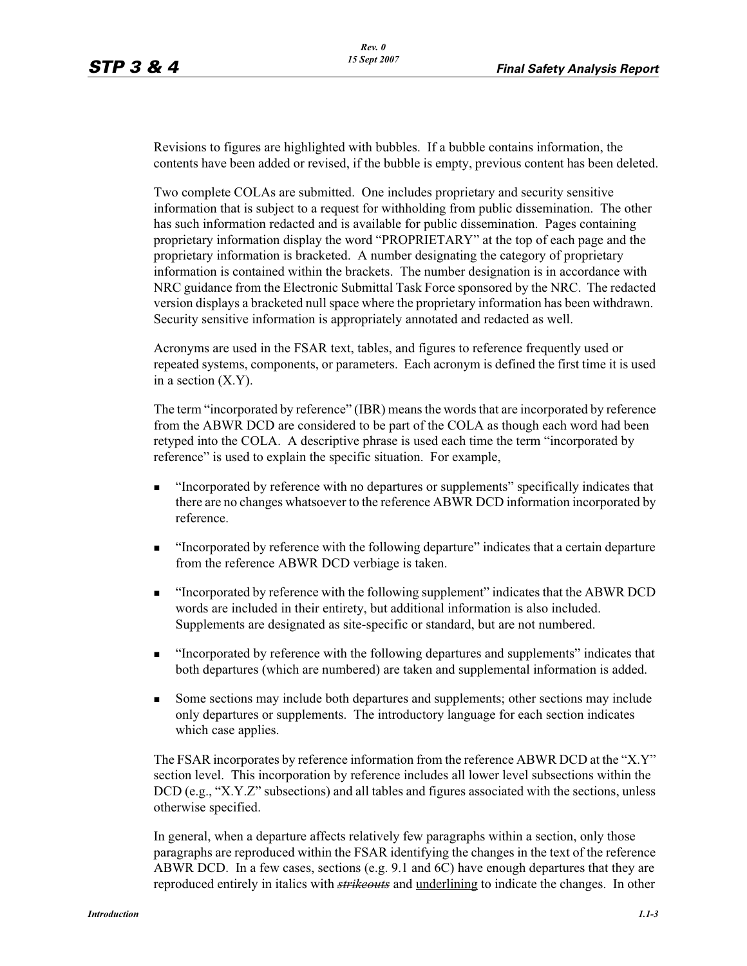Revisions to figures are highlighted with bubbles. If a bubble contains information, the contents have been added or revised, if the bubble is empty, previous content has been deleted.

Two complete COLAs are submitted. One includes proprietary and security sensitive information that is subject to a request for withholding from public dissemination. The other has such information redacted and is available for public dissemination. Pages containing proprietary information display the word "PROPRIETARY" at the top of each page and the proprietary information is bracketed. A number designating the category of proprietary information is contained within the brackets. The number designation is in accordance with NRC guidance from the Electronic Submittal Task Force sponsored by the NRC. The redacted version displays a bracketed null space where the proprietary information has been withdrawn. Security sensitive information is appropriately annotated and redacted as well.

Acronyms are used in the FSAR text, tables, and figures to reference frequently used or repeated systems, components, or parameters. Each acronym is defined the first time it is used in a section (X.Y).

The term "incorporated by reference" (IBR) means the words that are incorporated by reference from the ABWR DCD are considered to be part of the COLA as though each word had been retyped into the COLA. A descriptive phrase is used each time the term "incorporated by reference" is used to explain the specific situation. For example,

- - "Incorporated by reference with no departures or supplements" specifically indicates that there are no changes whatsoever to the reference ABWR DCD information incorporated by reference.
- - "Incorporated by reference with the following departure" indicates that a certain departure from the reference ABWR DCD verbiage is taken.
- - "Incorporated by reference with the following supplement" indicates that the ABWR DCD words are included in their entirety, but additional information is also included. Supplements are designated as site-specific or standard, but are not numbered.
- - "Incorporated by reference with the following departures and supplements" indicates that both departures (which are numbered) are taken and supplemental information is added.
- - Some sections may include both departures and supplements; other sections may include only departures or supplements. The introductory language for each section indicates which case applies.

The FSAR incorporates by reference information from the reference ABWR DCD at the "X.Y" section level. This incorporation by reference includes all lower level subsections within the DCD (e.g., "X.Y.Z" subsections) and all tables and figures associated with the sections, unless otherwise specified.

In general, when a departure affects relatively few paragraphs within a section, only those paragraphs are reproduced within the FSAR identifying the changes in the text of the reference ABWR DCD. In a few cases, sections (e.g. 9.1 and 6C) have enough departures that they are reproduced entirely in italics with *strikeouts* and underlining to indicate the changes. In other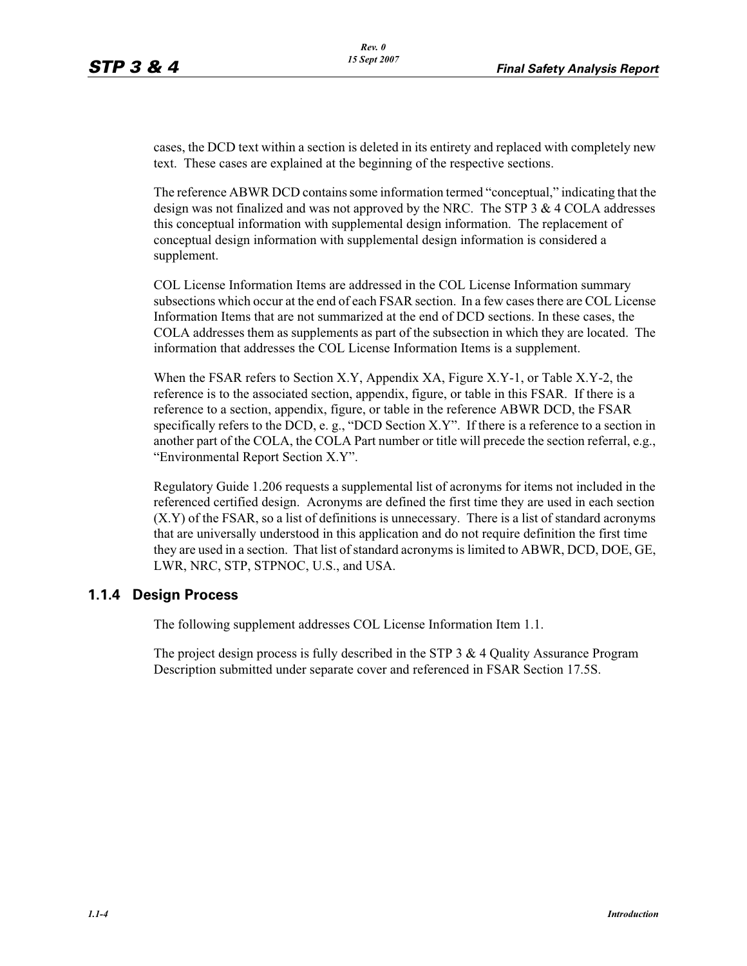cases, the DCD text within a section is deleted in its entirety and replaced with completely new text. These cases are explained at the beginning of the respective sections.

The reference ABWR DCD contains some information termed "conceptual," indicating that the design was not finalized and was not approved by the NRC. The STP 3 & 4 COLA addresses this conceptual information with supplemental design information. The replacement of conceptual design information with supplemental design information is considered a supplement.

COL License Information Items are addressed in the COL License Information summary subsections which occur at the end of each FSAR section. In a few cases there are COL License Information Items that are not summarized at the end of DCD sections. In these cases, the COLA addresses them as supplements as part of the subsection in which they are located. The information that addresses the COL License Information Items is a supplement.

When the FSAR refers to Section X.Y, Appendix XA, Figure X.Y-1, or Table X.Y-2, the reference is to the associated section, appendix, figure, or table in this FSAR. If there is a reference to a section, appendix, figure, or table in the reference ABWR DCD, the FSAR specifically refers to the DCD, e. g., "DCD Section X.Y". If there is a reference to a section in another part of the COLA, the COLA Part number or title will precede the section referral, e.g., "Environmental Report Section X.Y".

Regulatory Guide 1.206 requests a supplemental list of acronyms for items not included in the referenced certified design. Acronyms are defined the first time they are used in each section (X.Y) of the FSAR, so a list of definitions is unnecessary. There is a list of standard acronyms that are universally understood in this application and do not require definition the first time they are used in a section. That list of standard acronyms is limited to ABWR, DCD, DOE, GE, LWR, NRC, STP, STPNOC, U.S., and USA.

## **1.1.4 Design Process**

The following supplement addresses COL License Information Item 1.1.

The project design process is fully described in the STP  $3 \& 4$  Quality Assurance Program Description submitted under separate cover and referenced in FSAR Section 17.5S.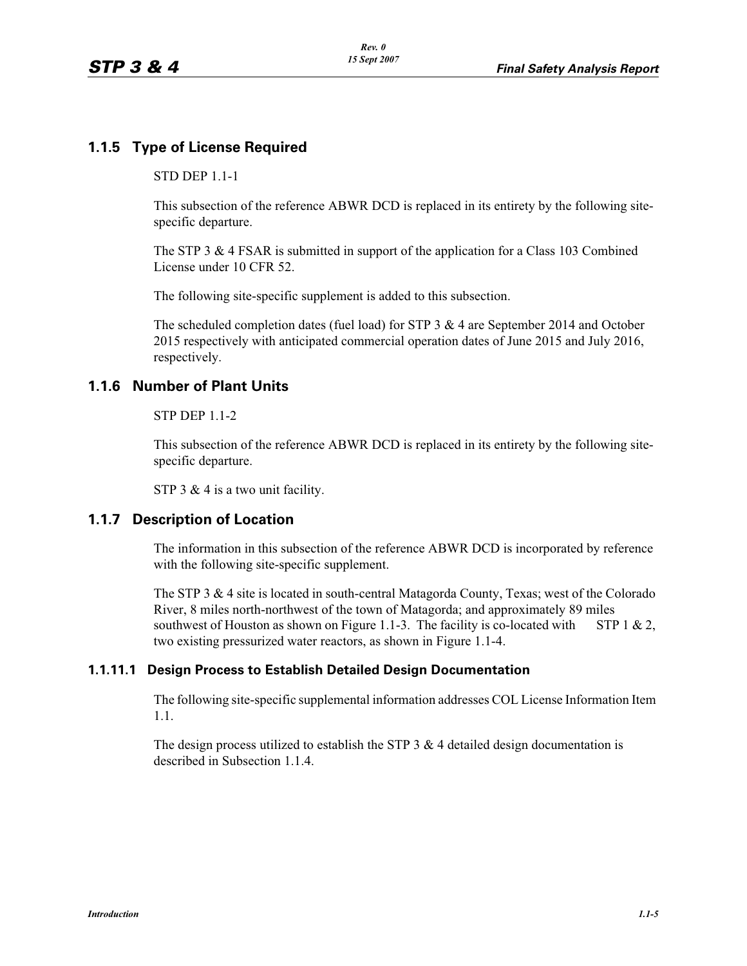# **1.1.5 Type of License Required**

#### STD DEP 1.1-1

This subsection of the reference ABWR DCD is replaced in its entirety by the following sitespecific departure.

The STP 3 & 4 FSAR is submitted in support of the application for a Class 103 Combined License under 10 CFR 52.

The following site-specific supplement is added to this subsection.

The scheduled completion dates (fuel load) for STP 3  $\&$  4 are September 2014 and October 2015 respectively with anticipated commercial operation dates of June 2015 and July 2016, respectively.

# **1.1.6 Number of Plant Units**

#### STP DEP 1.1-2

This subsection of the reference ABWR DCD is replaced in its entirety by the following sitespecific departure.

STP 3 & 4 is a two unit facility.

## **1.1.7 Description of Location**

The information in this subsection of the reference ABWR DCD is incorporated by reference with the following site-specific supplement.

The STP 3 & 4 site is located in south-central Matagorda County, Texas; west of the Colorado River, 8 miles north-northwest of the town of Matagorda; and approximately 89 miles southwest of Houston as shown on Figure 1.1-3. The facility is co-located with STP 1 & 2, two existing pressurized water reactors, as shown in Figure 1.1-4.

## **1.1.11.1 Design Process to Establish Detailed Design Documentation**

The following site-specific supplemental information addresses COL License Information Item 1.1.

The design process utilized to establish the STP  $3 \& 4$  detailed design documentation is described in Subsection 1.1.4.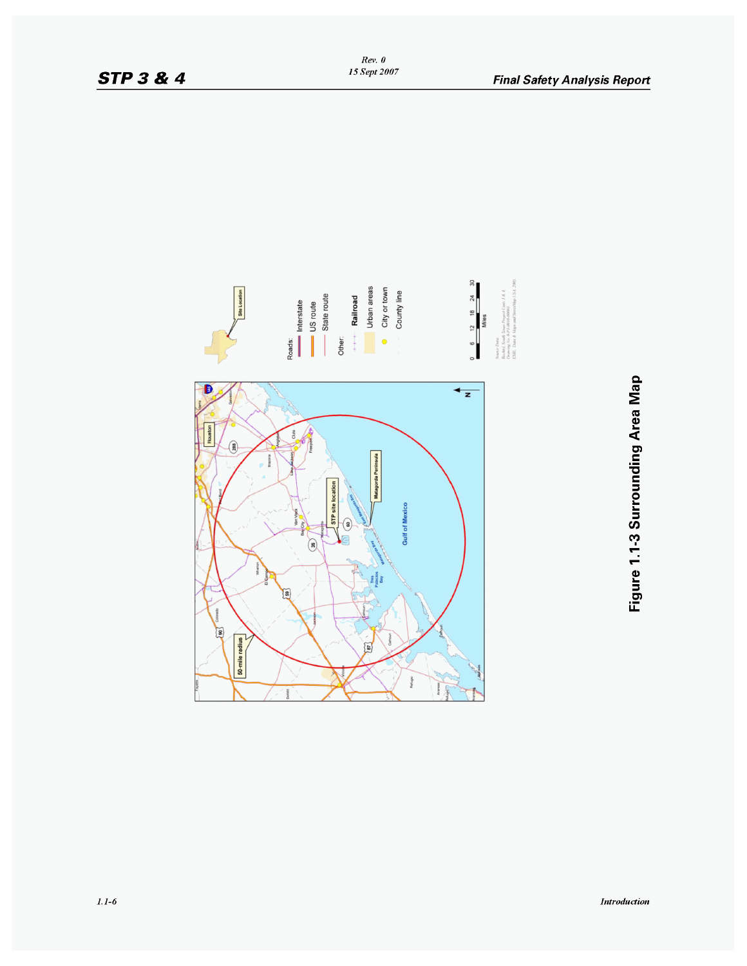

Rev. 0<br>15 Sept 2007